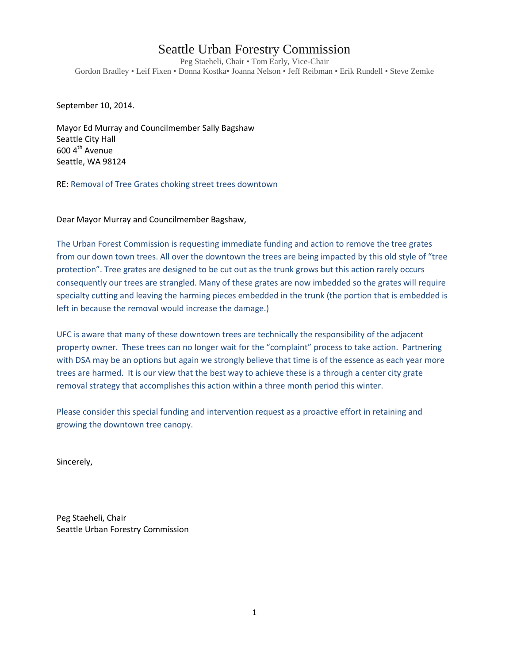## Seattle Urban Forestry Commission

Peg Staeheli, Chair • Tom Early, Vice-Chair Gordon Bradley • Leif Fixen • Donna Kostka• Joanna Nelson • Jeff Reibman • Erik Rundell • Steve Zemke

September 10, 2014.

Mayor Ed Murray and Councilmember Sally Bagshaw Seattle City Hall 600 4<sup>th</sup> Avenue Seattle, WA 98124

RE: Removal of Tree Grates choking street trees downtown

Dear Mayor Murray and Councilmember Bagshaw,

The Urban Forest Commission is requesting immediate funding and action to remove the tree grates from our down town trees. All over the downtown the trees are being impacted by this old style of "tree protection". Tree grates are designed to be cut out as the trunk grows but this action rarely occurs consequently our trees are strangled. Many of these grates are now imbedded so the grates will require specialty cutting and leaving the harming pieces embedded in the trunk (the portion that is embedded is left in because the removal would increase the damage.)

UFC is aware that many of these downtown trees are technically the responsibility of the adjacent property owner. These trees can no longer wait for the "complaint" process to take action. Partnering with DSA may be an options but again we strongly believe that time is of the essence as each year more trees are harmed. It is our view that the best way to achieve these is a through a center city grate removal strategy that accomplishes this action within a three month period this winter.

Please consider this special funding and intervention request as a proactive effort in retaining and growing the downtown tree canopy.

Sincerely,

Peg Staeheli, Chair Seattle Urban Forestry Commission